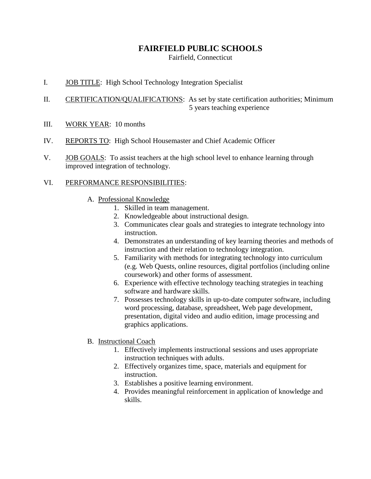## **FAIRFIELD PUBLIC SCHOOLS**

Fairfield, Connecticut

- I. JOB TITLE: High School Technology Integration Specialist
- II. CERTIFICATION/QUALIFICATIONS: As set by state certification authorities; Minimum 5 years teaching experience
- III. WORK YEAR: 10 months
- IV. REPORTS TO: High School Housemaster and Chief Academic Officer
- V. JOB GOALS: To assist teachers at the high school level to enhance learning through improved integration of technology.

## VI. PERFORMANCE RESPONSIBILITIES:

- A. Professional Knowledge
	- 1. Skilled in team management.
	- 2. Knowledgeable about instructional design.
	- 3. Communicates clear goals and strategies to integrate technology into instruction.
	- 4. Demonstrates an understanding of key learning theories and methods of instruction and their relation to technology integration.
	- 5. Familiarity with methods for integrating technology into curriculum (e.g. Web Quests, online resources, digital portfolios (including online coursework) and other forms of assessment.
	- 6. Experience with effective technology teaching strategies in teaching software and hardware skills.
	- 7. Possesses technology skills in up-to-date computer software, including word processing, database, spreadsheet, Web page development, presentation, digital video and audio edition, image processing and graphics applications.
- B. Instructional Coach
	- 1. Effectively implements instructional sessions and uses appropriate instruction techniques with adults.
	- 2. Effectively organizes time, space, materials and equipment for instruction.
	- 3. Establishes a positive learning environment.
	- 4. Provides meaningful reinforcement in application of knowledge and skills.